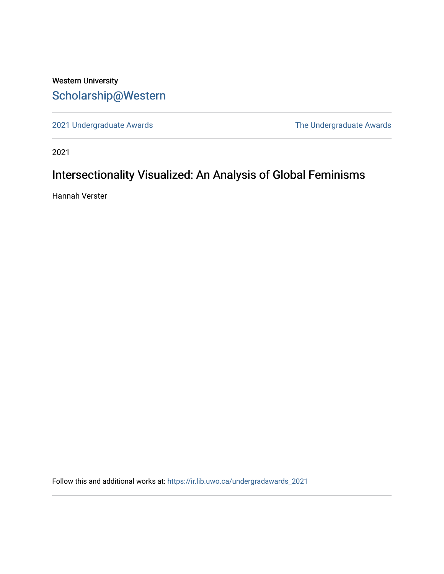# Western University [Scholarship@Western](https://ir.lib.uwo.ca/)

[2021 Undergraduate Awards](https://ir.lib.uwo.ca/undergradawards_2021) [The Undergraduate Awards](https://ir.lib.uwo.ca/ungradawards) 

2021

# Intersectionality Visualized: An Analysis of Global Feminisms

Hannah Verster

Follow this and additional works at: [https://ir.lib.uwo.ca/undergradawards\\_2021](https://ir.lib.uwo.ca/undergradawards_2021?utm_source=ir.lib.uwo.ca%2Fundergradawards_2021%2F3&utm_medium=PDF&utm_campaign=PDFCoverPages)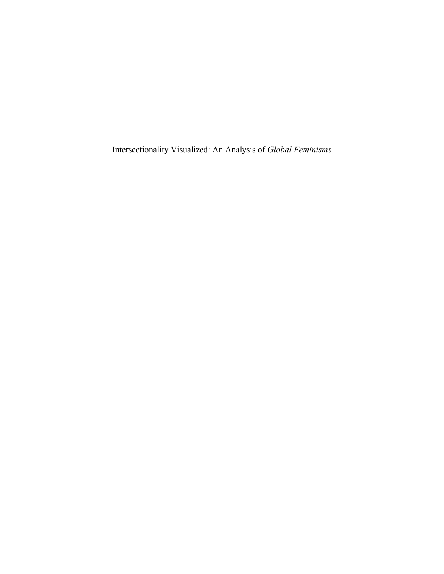Intersectionality Visualized: An Analysis of *Global Feminisms*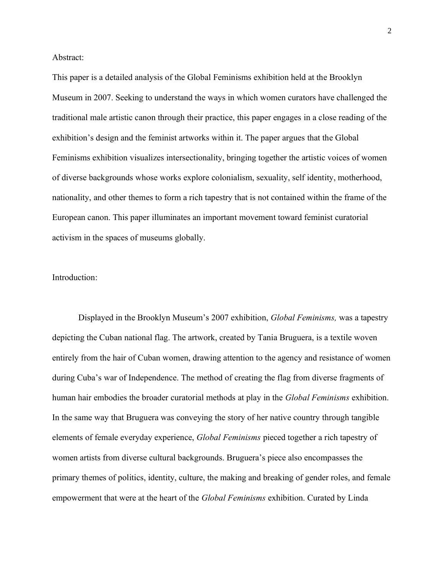Abstract:

This paper is a detailed analysis of the Global Feminisms exhibition held at the Brooklyn Museum in 2007. Seeking to understand the ways in which women curators have challenged the traditional male artistic canon through their practice, this paper engages in a close reading of the exhibition's design and the feminist artworks within it. The paper argues that the Global Feminisms exhibition visualizes intersectionality, bringing together the artistic voices of women of diverse backgrounds whose works explore colonialism, sexuality, self identity, motherhood, nationality, and other themes to form a rich tapestry that is not contained within the frame of the European canon. This paper illuminates an important movement toward feminist curatorial activism in the spaces of museums globally.

#### Introduction:

Displayed in the Brooklyn Museum's 2007 exhibition, *Global Feminisms,* was a tapestry depicting the Cuban national flag. The artwork, created by Tania Bruguera, is a textile woven entirely from the hair of Cuban women, drawing attention to the agency and resistance of women during Cuba's war of Independence. The method of creating the flag from diverse fragments of human hair embodies the broader curatorial methods at play in the *Global Feminisms* exhibition. In the same way that Bruguera was conveying the story of her native country through tangible elements of female everyday experience, *Global Feminisms* pieced together a rich tapestry of women artists from diverse cultural backgrounds. Bruguera's piece also encompasses the primary themes of politics, identity, culture, the making and breaking of gender roles, and female empowerment that were at the heart of the *Global Feminisms* exhibition. Curated by Linda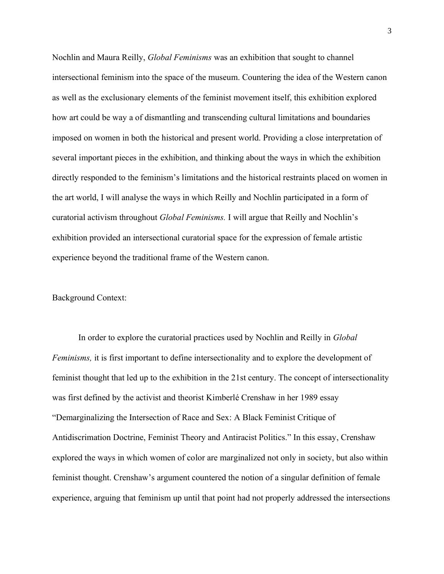Nochlin and Maura Reilly, *Global Feminisms* was an exhibition that sought to channel intersectional feminism into the space of the museum. Countering the idea of the Western canon as well as the exclusionary elements of the feminist movement itself, this exhibition explored how art could be way a of dismantling and transcending cultural limitations and boundaries imposed on women in both the historical and present world. Providing a close interpretation of several important pieces in the exhibition, and thinking about the ways in which the exhibition directly responded to the feminism's limitations and the historical restraints placed on women in the art world, I will analyse the ways in which Reilly and Nochlin participated in a form of curatorial activism throughout *Global Feminisms.* I will argue that Reilly and Nochlin's exhibition provided an intersectional curatorial space for the expression of female artistic experience beyond the traditional frame of the Western canon.

## Background Context:

In order to explore the curatorial practices used by Nochlin and Reilly in *Global Feminisms,* it is first important to define intersectionality and to explore the development of feminist thought that led up to the exhibition in the 21st century. The concept of intersectionality was first defined by the activist and theorist Kimberlé Crenshaw in her 1989 essay "Demarginalizing the Intersection of Race and Sex: A Black Feminist Critique of Antidiscrimation Doctrine, Feminist Theory and Antiracist Politics." In this essay, Crenshaw explored the ways in which women of color are marginalized not only in society, but also within feminist thought. Crenshaw's argument countered the notion of a singular definition of female experience, arguing that feminism up until that point had not properly addressed the intersections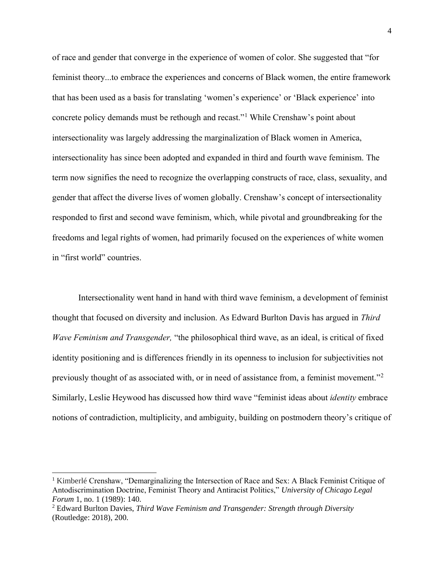of race and gender that converge in the experience of women of color. She suggested that "for feminist theory...to embrace the experiences and concerns of Black women, the entire framework that has been used as a basis for translating 'women's experience' or 'Black experience' into concrete policy demands must be rethough and recast."<sup>1</sup> While Crenshaw's point about intersectionality was largely addressing the marginalization of Black women in America, intersectionality has since been adopted and expanded in third and fourth wave feminism. The term now signifies the need to recognize the overlapping constructs of race, class, sexuality, and gender that affect the diverse lives of women globally. Crenshaw's concept of intersectionality responded to first and second wave feminism, which, while pivotal and groundbreaking for the freedoms and legal rights of women, had primarily focused on the experiences of white women in "first world" countries.

Intersectionality went hand in hand with third wave feminism, a development of feminist thought that focused on diversity and inclusion. As Edward Burlton Davis has argued in *Third Wave Feminism and Transgender,* "the philosophical third wave, as an ideal, is critical of fixed identity positioning and is differences friendly in its openness to inclusion for subjectivities not previously thought of as associated with, or in need of assistance from, a feminist movement."<sup>2</sup> Similarly, Leslie Heywood has discussed how third wave "feminist ideas about *identity* embrace notions of contradiction, multiplicity, and ambiguity, building on postmodern theory's critique of

<sup>1</sup> Kimberlé Crenshaw, "Demarginalizing the Intersection of Race and Sex: A Black Feminist Critique of Antodiscrimination Doctrine, Feminist Theory and Antiracist Politics," *University of Chicago Legal Forum* 1, no. 1 (1989): 140.

<sup>2</sup> Edward Burlton Davies, *Third Wave Feminism and Transgender: Strength through Diversity*  (Routledge: 2018), 200.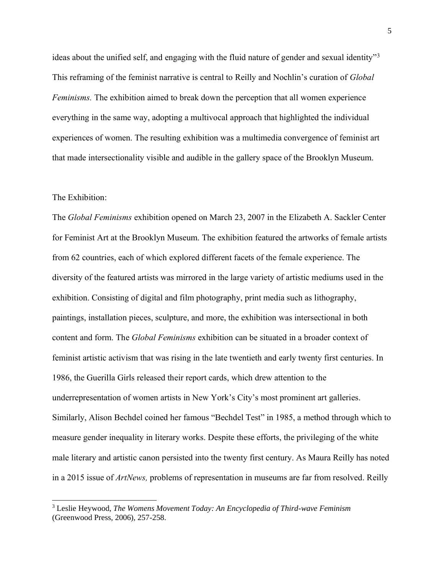ideas about the unified self, and engaging with the fluid nature of gender and sexual identity"<sup>3</sup> This reframing of the feminist narrative is central to Reilly and Nochlin's curation of *Global Feminisms.* The exhibition aimed to break down the perception that all women experience everything in the same way, adopting a multivocal approach that highlighted the individual experiences of women. The resulting exhibition was a multimedia convergence of feminist art that made intersectionality visible and audible in the gallery space of the Brooklyn Museum.

## The Exhibition:

The *Global Feminisms* exhibition opened on March 23, 2007 in the Elizabeth A. Sackler Center for Feminist Art at the Brooklyn Museum. The exhibition featured the artworks of female artists from 62 countries, each of which explored different facets of the female experience. The diversity of the featured artists was mirrored in the large variety of artistic mediums used in the exhibition. Consisting of digital and film photography, print media such as lithography, paintings, installation pieces, sculpture, and more, the exhibition was intersectional in both content and form. The *Global Feminisms* exhibition can be situated in a broader context of feminist artistic activism that was rising in the late twentieth and early twenty first centuries. In 1986, the Guerilla Girls released their report cards, which drew attention to the underrepresentation of women artists in New York's City's most prominent art galleries. Similarly, Alison Bechdel coined her famous "Bechdel Test" in 1985, a method through which to measure gender inequality in literary works. Despite these efforts, the privileging of the white male literary and artistic canon persisted into the twenty first century. As Maura Reilly has noted in a 2015 issue of *ArtNews,* problems of representation in museums are far from resolved. Reilly

<sup>3</sup> Leslie Heywood, *The Womens Movement Today: An Encyclopedia of Third-wave Feminism*  (Greenwood Press, 2006), 257-258.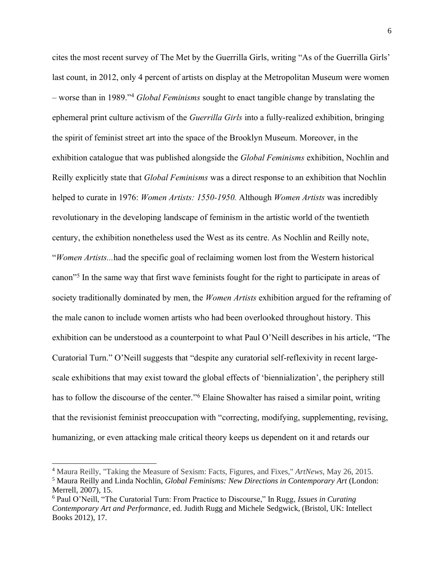cites the most recent survey of The Met by the Guerrilla Girls, writing "As of the Guerrilla Girls' last count, in 2012, only 4 percent of artists on display at the Metropolitan Museum were women – worse than in 1989."<sup>4</sup> *Global Feminisms* sought to enact tangible change by translating the ephemeral print culture activism of the *Guerrilla Girls* into a fully-realized exhibition, bringing the spirit of feminist street art into the space of the Brooklyn Museum. Moreover, in the exhibition catalogue that was published alongside the *Global Feminisms* exhibition, Nochlin and Reilly explicitly state that *Global Feminisms* was a direct response to an exhibition that Nochlin helped to curate in 1976: *Women Artists: 1550-1950.* Although *Women Artists* was incredibly revolutionary in the developing landscape of feminism in the artistic world of the twentieth century, the exhibition nonetheless used the West as its centre. As Nochlin and Reilly note, "*Women Artists...*had the specific goal of reclaiming women lost from the Western historical canon"<sup>5</sup> In the same way that first wave feminists fought for the right to participate in areas of society traditionally dominated by men, the *Women Artists* exhibition argued for the reframing of the male canon to include women artists who had been overlooked throughout history. This exhibition can be understood as a counterpoint to what Paul O'Neill describes in his article, "The Curatorial Turn." O'Neill suggests that "despite any curatorial self-reflexivity in recent largescale exhibitions that may exist toward the global effects of 'biennialization', the periphery still has to follow the discourse of the center."<sup>6</sup> Elaine Showalter has raised a similar point, writing that the revisionist feminist preoccupation with "correcting, modifying, supplementing, revising, humanizing, or even attacking male critical theory keeps us dependent on it and retards our

<sup>4</sup> Maura Reilly, "Taking the Measure of Sexism: Facts, Figures, and Fixes," *ArtNews*, May 26, 2015.

<sup>5</sup> Maura Reilly and Linda Nochlin, *Global Feminisms: New Directions in Contemporary Art* (London: Merrell, 2007), 15.

<sup>6</sup> Paul O'Neill, "The Curatorial Turn: From Practice to Discourse," In Rugg, *Issues in Curating Contemporary Art and Performance*, ed. Judith Rugg and Michele Sedgwick, (Bristol, UK: Intellect Books 2012), 17.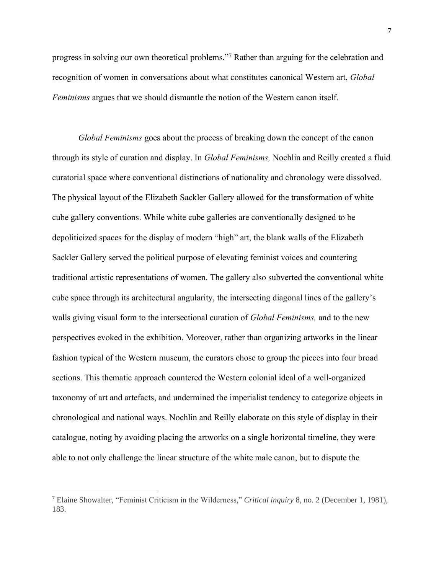progress in solving our own theoretical problems."<sup>7</sup> Rather than arguing for the celebration and recognition of women in conversations about what constitutes canonical Western art, *Global Feminisms* argues that we should dismantle the notion of the Western canon itself.

*Global Feminisms* goes about the process of breaking down the concept of the canon through its style of curation and display. In *Global Feminisms,* Nochlin and Reilly created a fluid curatorial space where conventional distinctions of nationality and chronology were dissolved. The physical layout of the Elizabeth Sackler Gallery allowed for the transformation of white cube gallery conventions. While white cube galleries are conventionally designed to be depoliticized spaces for the display of modern "high" art, the blank walls of the Elizabeth Sackler Gallery served the political purpose of elevating feminist voices and countering traditional artistic representations of women. The gallery also subverted the conventional white cube space through its architectural angularity, the intersecting diagonal lines of the gallery's walls giving visual form to the intersectional curation of *Global Feminisms,* and to the new perspectives evoked in the exhibition. Moreover, rather than organizing artworks in the linear fashion typical of the Western museum, the curators chose to group the pieces into four broad sections. This thematic approach countered the Western colonial ideal of a well-organized taxonomy of art and artefacts, and undermined the imperialist tendency to categorize objects in chronological and national ways. Nochlin and Reilly elaborate on this style of display in their catalogue, noting by avoiding placing the artworks on a single horizontal timeline, they were able to not only challenge the linear structure of the white male canon, but to dispute the

<sup>7</sup> Elaine Showalter, "Feminist Criticism in the Wilderness," *Critical inquiry* 8, no. 2 (December 1, 1981), 183.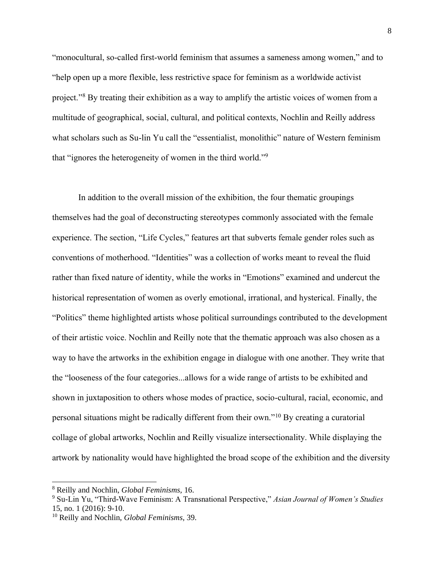"monocultural, so-called first-world feminism that assumes a sameness among women," and to "help open up a more flexible, less restrictive space for feminism as a worldwide activist project."<sup>8</sup> By treating their exhibition as a way to amplify the artistic voices of women from a multitude of geographical, social, cultural, and political contexts, Nochlin and Reilly address what scholars such as Su-lin Yu call the "essentialist, monolithic" nature of Western feminism that "ignores the heterogeneity of women in the third world."<sup>9</sup>

In addition to the overall mission of the exhibition, the four thematic groupings themselves had the goal of deconstructing stereotypes commonly associated with the female experience. The section, "Life Cycles," features art that subverts female gender roles such as conventions of motherhood. "Identities" was a collection of works meant to reveal the fluid rather than fixed nature of identity, while the works in "Emotions" examined and undercut the historical representation of women as overly emotional, irrational, and hysterical. Finally, the "Politics" theme highlighted artists whose political surroundings contributed to the development of their artistic voice. Nochlin and Reilly note that the thematic approach was also chosen as a way to have the artworks in the exhibition engage in dialogue with one another. They write that the "looseness of the four categories...allows for a wide range of artists to be exhibited and shown in juxtaposition to others whose modes of practice, socio-cultural, racial, economic, and personal situations might be radically different from their own."<sup>10</sup> By creating a curatorial collage of global artworks, Nochlin and Reilly visualize intersectionality. While displaying the artwork by nationality would have highlighted the broad scope of the exhibition and the diversity

<sup>8</sup> Reilly and Nochlin, *Global Feminisms,* 16.

<sup>9</sup> Su-Lin Yu, "Third-Wave Feminism: A Transnational Perspective," *Asian Journal of Women's Studies*  15, no. 1 (2016): 9-10.

<sup>10</sup> Reilly and Nochlin, *Global Feminisms,* 39.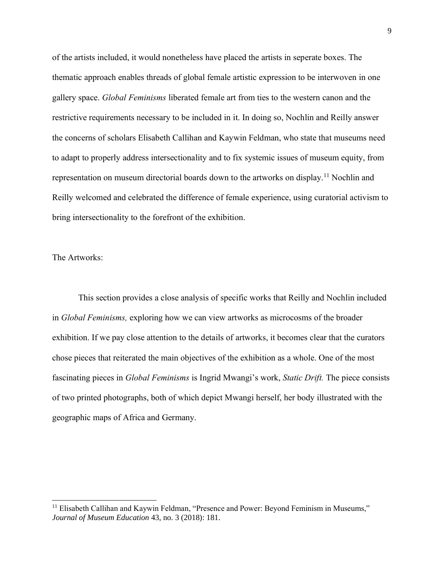of the artists included, it would nonetheless have placed the artists in seperate boxes. The thematic approach enables threads of global female artistic expression to be interwoven in one gallery space. *Global Feminisms* liberated female art from ties to the western canon and the restrictive requirements necessary to be included in it. In doing so, Nochlin and Reilly answer the concerns of scholars Elisabeth Callihan and Kaywin Feldman, who state that museums need to adapt to properly address intersectionality and to fix systemic issues of museum equity, from representation on museum directorial boards down to the artworks on display.<sup>11</sup> Nochlin and Reilly welcomed and celebrated the difference of female experience, using curatorial activism to bring intersectionality to the forefront of the exhibition.

#### The Artworks:

This section provides a close analysis of specific works that Reilly and Nochlin included in *Global Feminisms,* exploring how we can view artworks as microcosms of the broader exhibition. If we pay close attention to the details of artworks, it becomes clear that the curators chose pieces that reiterated the main objectives of the exhibition as a whole. One of the most fascinating pieces in *Global Feminisms* is Ingrid Mwangi's work, *Static Drift.* The piece consists of two printed photographs, both of which depict Mwangi herself, her body illustrated with the geographic maps of Africa and Germany.

<sup>&</sup>lt;sup>11</sup> Elisabeth Callihan and Kaywin Feldman, "Presence and Power: Beyond Feminism in Museums," *Journal of Museum Education* 43, no. 3 (2018): 181.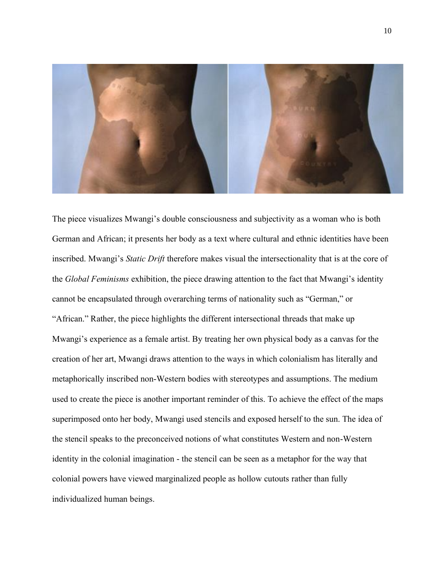

The piece visualizes Mwangi's double consciousness and subjectivity as a woman who is both German and African; it presents her body as a text where cultural and ethnic identities have been inscribed. Mwangi's *Static Drift* therefore makes visual the intersectionality that is at the core of the *Global Feminisms* exhibition, the piece drawing attention to the fact that Mwangi's identity cannot be encapsulated through overarching terms of nationality such as "German," or "African." Rather, the piece highlights the different intersectional threads that make up Mwangi's experience as a female artist. By treating her own physical body as a canvas for the creation of her art, Mwangi draws attention to the ways in which colonialism has literally and metaphorically inscribed non-Western bodies with stereotypes and assumptions. The medium used to create the piece is another important reminder of this. To achieve the effect of the maps superimposed onto her body, Mwangi used stencils and exposed herself to the sun. The idea of the stencil speaks to the preconceived notions of what constitutes Western and non-Western identity in the colonial imagination - the stencil can be seen as a metaphor for the way that colonial powers have viewed marginalized people as hollow cutouts rather than fully individualized human beings.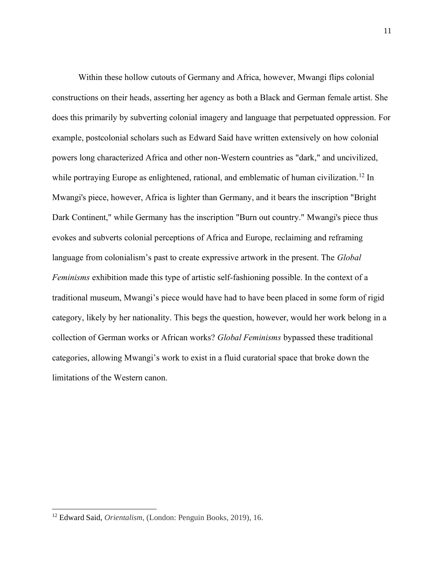Within these hollow cutouts of Germany and Africa, however, Mwangi flips colonial constructions on their heads, asserting her agency as both a Black and German female artist. She does this primarily by subverting colonial imagery and language that perpetuated oppression. For example, postcolonial scholars such as Edward Said have written extensively on how colonial powers long characterized Africa and other non-Western countries as "dark," and uncivilized, while portraying Europe as enlightened, rational, and emblematic of human civilization.<sup>12</sup> In Mwangi's piece, however, Africa is lighter than Germany, and it bears the inscription "Bright Dark Continent," while Germany has the inscription "Burn out country." Mwangi's piece thus evokes and subverts colonial perceptions of Africa and Europe, reclaiming and reframing language from colonialism's past to create expressive artwork in the present. The *Global Feminisms* exhibition made this type of artistic self-fashioning possible. In the context of a traditional museum, Mwangi's piece would have had to have been placed in some form of rigid category, likely by her nationality. This begs the question, however, would her work belong in a collection of German works or African works? *Global Feminisms* bypassed these traditional categories, allowing Mwangi's work to exist in a fluid curatorial space that broke down the limitations of the Western canon.

<sup>12</sup> Edward Said, *Orientalism*, (London: Penguin Books, 2019), 16.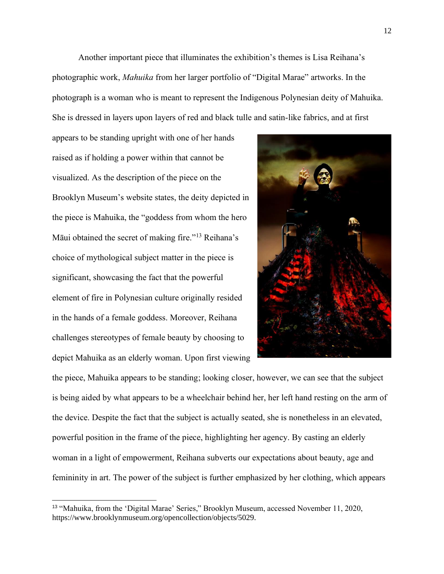Another important piece that illuminates the exhibition's themes is Lisa Reihana's photographic work, *Mahuika* from her larger portfolio of "Digital Marae" artworks. In the photograph is a woman who is meant to represent the Indigenous Polynesian deity of Mahuika. She is dressed in layers upon layers of red and black tulle and satin-like fabrics, and at first

appears to be standing upright with one of her hands raised as if holding a power within that cannot be visualized. As the description of the piece on the Brooklyn Museum's website states, the deity depicted in the piece is Mahuika, the "goddess from whom the hero Māui obtained the secret of making fire."<sup>13</sup> Reihana's choice of mythological subject matter in the piece is significant, showcasing the fact that the powerful element of fire in Polynesian culture originally resided in the hands of a female goddess. Moreover, Reihana challenges stereotypes of female beauty by choosing to depict Mahuika as an elderly woman. Upon first viewing



the piece, Mahuika appears to be standing; looking closer, however, we can see that the subject is being aided by what appears to be a wheelchair behind her, her left hand resting on the arm of the device. Despite the fact that the subject is actually seated, she is nonetheless in an elevated, powerful position in the frame of the piece, highlighting her agency. By casting an elderly woman in a light of empowerment, Reihana subverts our expectations about beauty, age and femininity in art. The power of the subject is further emphasized by her clothing, which appears

<sup>13</sup> "Mahuika, from the 'Digital Marae' Series," Brooklyn Museum, accessed November 11, 2020, https://www.brooklynmuseum.org/opencollection/objects/5029.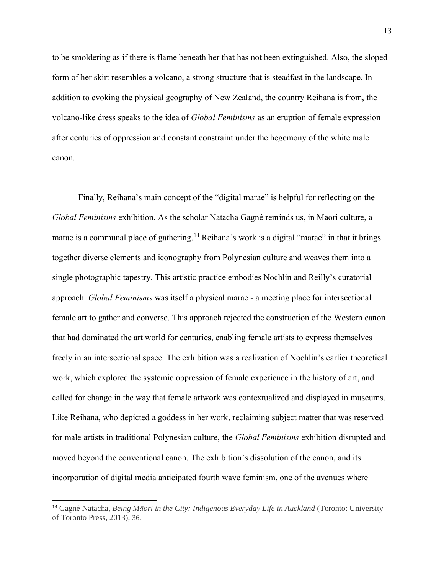to be smoldering as if there is flame beneath her that has not been extinguished. Also, the sloped form of her skirt resembles a volcano, a strong structure that is steadfast in the landscape. In addition to evoking the physical geography of New Zealand, the country Reihana is from, the volcano-like dress speaks to the idea of *Global Feminisms* as an eruption of female expression after centuries of oppression and constant constraint under the hegemony of the white male canon.

Finally, Reihana's main concept of the "digital marae" is helpful for reflecting on the *Global Feminisms* exhibition. As the scholar Natacha Gagné reminds us, in Māori culture, a marae is a communal place of gathering.<sup>14</sup> Reihana's work is a digital "marae" in that it brings together diverse elements and iconography from Polynesian culture and weaves them into a single photographic tapestry. This artistic practice embodies Nochlin and Reilly's curatorial approach. *Global Feminisms* was itself a physical marae - a meeting place for intersectional female art to gather and converse. This approach rejected the construction of the Western canon that had dominated the art world for centuries, enabling female artists to express themselves freely in an intersectional space. The exhibition was a realization of Nochlin's earlier theoretical work, which explored the systemic oppression of female experience in the history of art, and called for change in the way that female artwork was contextualized and displayed in museums. Like Reihana, who depicted a goddess in her work, reclaiming subject matter that was reserved for male artists in traditional Polynesian culture, the *Global Feminisms* exhibition disrupted and moved beyond the conventional canon. The exhibition's dissolution of the canon, and its incorporation of digital media anticipated fourth wave feminism, one of the avenues where

<sup>14</sup> Gagné Natacha, *Being Māori in the City: Indigenous Everyday Life in Auckland* (Toronto: University of Toronto Press, 2013), 36.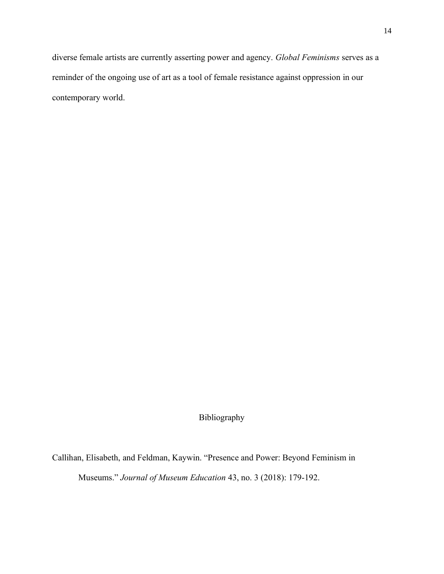diverse female artists are currently asserting power and agency. *Global Feminisms* serves as a reminder of the ongoing use of art as a tool of female resistance against oppression in our contemporary world.

Bibliography

Callihan, Elisabeth, and Feldman, Kaywin. "Presence and Power: Beyond Feminism in

Museums." *Journal of Museum Education* 43, no. 3 (2018): 179-192.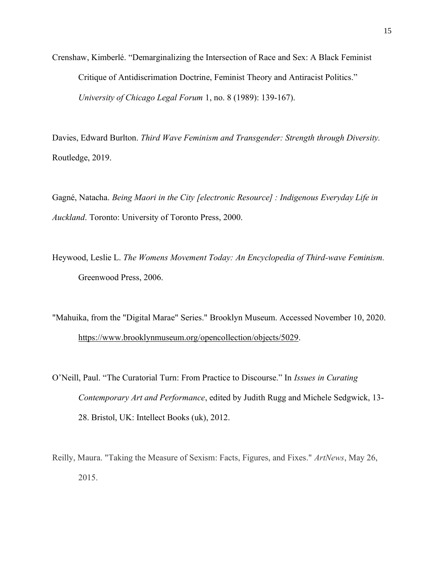Crenshaw, Kimberlé. "Demarginalizing the Intersection of Race and Sex: A Black Feminist Critique of Antidiscrimation Doctrine, Feminist Theory and Antiracist Politics." *University of Chicago Legal Forum* 1, no. 8 (1989): 139-167).

Davies, Edward Burlton. *Third Wave Feminism and Transgender: Strength through Diversity.*  Routledge, 2019.

Gagné, Natacha. *Being Maori in the City [electronic Resource] : Indigenous Everyday Life in Auckland*. Toronto: University of Toronto Press, 2000.

Heywood, Leslie L. *The Womens Movement Today: An Encyclopedia of Third-wave Feminism.*  Greenwood Press, 2006.

"Mahuika, from the "Digital Marae" Series." Brooklyn Museum. Accessed November 10, 2020. [https://www.brooklynmuseum.org/opencollection/objects/5029.](https://www.brooklynmuseum.org/opencollection/objects/5029)

O'Neill, Paul. "The Curatorial Turn: From Practice to Discourse." In *Issues in Curating Contemporary Art and Performance*, edited by Judith Rugg and Michele Sedgwick, 13- 28. Bristol, UK: Intellect Books (uk), 2012.

Reilly, Maura. "Taking the Measure of Sexism: Facts, Figures, and Fixes." *ArtNews*, May 26, 2015.